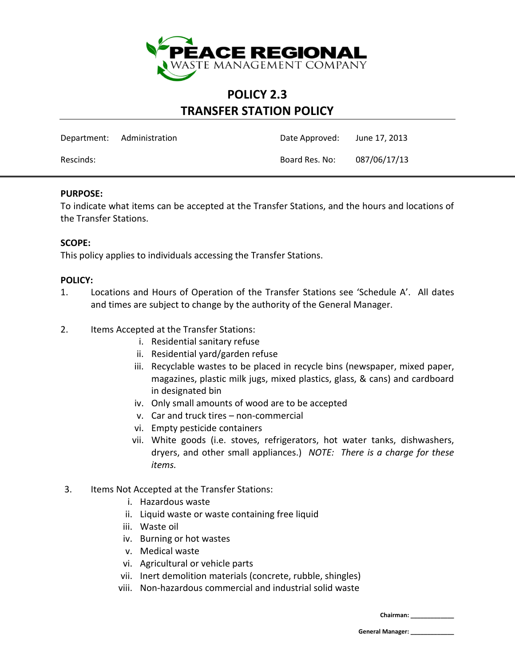

### **POLICY 2.3 TRANSFER STATION POLICY**

|           | Department: Administration | Date Approved: | June 17, 2013 |
|-----------|----------------------------|----------------|---------------|
| Rescinds: |                            | Board Res. No: | 087/06/17/13  |

### **PURPOSE:**

To indicate what items can be accepted at the Transfer Stations, and the hours and locations of the Transfer Stations.

#### **SCOPE:**

This policy applies to individuals accessing the Transfer Stations.

#### **POLICY:**

- 1. Locations and Hours of Operation of the Transfer Stations see 'Schedule A'. All dates and times are subject to change by the authority of the General Manager.
- 2. Items Accepted at the Transfer Stations:
	- i. Residential sanitary refuse
	- ii. Residential yard/garden refuse
	- iii. Recyclable wastes to be placed in recycle bins (newspaper, mixed paper, magazines, plastic milk jugs, mixed plastics, glass, & cans) and cardboard in designated bin
	- iv. Only small amounts of wood are to be accepted
	- v. Car and truck tires non-commercial
	- vi. Empty pesticide containers
	- vii. White goods (i.e. stoves, refrigerators, hot water tanks, dishwashers, dryers, and other small appliances.) *NOTE: There is a charge for these items.*
- 3. Items Not Accepted at the Transfer Stations:
	- i. Hazardous waste
	- ii. Liquid waste or waste containing free liquid
	- iii. Waste oil
	- iv. Burning or hot wastes
	- v. Medical waste
	- vi. Agricultural or vehicle parts
	- vii. Inert demolition materials (concrete, rubble, shingles)
	- viii. Non-hazardous commercial and industrial solid waste

**Chairman: \_\_\_\_\_\_\_\_\_\_\_\_\_**

**General Manager: \_\_\_\_\_\_\_\_\_\_\_\_\_**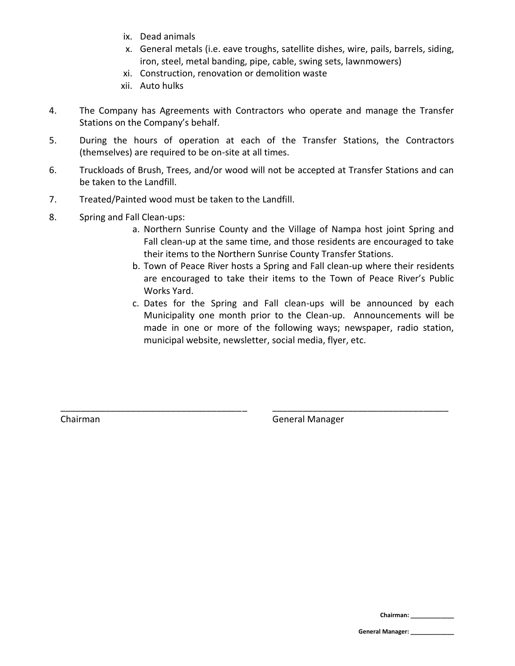- ix. Dead animals
- x. General metals (i.e. eave troughs, satellite dishes, wire, pails, barrels, siding, iron, steel, metal banding, pipe, cable, swing sets, lawnmowers)
- xi. Construction, renovation or demolition waste
- xii. Auto hulks
- 4. The Company has Agreements with Contractors who operate and manage the Transfer Stations on the Company's behalf.
- 5. During the hours of operation at each of the Transfer Stations, the Contractors (themselves) are required to be on-site at all times.
- 6. Truckloads of Brush, Trees, and/or wood will not be accepted at Transfer Stations and can be taken to the Landfill.

\_\_\_\_\_\_\_\_\_\_\_\_\_\_\_\_\_\_\_\_\_\_\_\_\_\_\_\_\_\_\_\_\_\_\_\_\_ \_\_\_\_\_\_\_\_\_\_\_\_\_\_\_\_\_\_\_\_\_\_\_\_\_\_\_\_\_\_\_\_\_\_\_

- 7. Treated/Painted wood must be taken to the Landfill.
- 8. Spring and Fall Clean-ups:
	- a. Northern Sunrise County and the Village of Nampa host joint Spring and Fall clean-up at the same time, and those residents are encouraged to take their items to the Northern Sunrise County Transfer Stations.
	- b. Town of Peace River hosts a Spring and Fall clean-up where their residents are encouraged to take their items to the Town of Peace River's Public Works Yard.
	- c. Dates for the Spring and Fall clean-ups will be announced by each Municipality one month prior to the Clean-up. Announcements will be made in one or more of the following ways; newspaper, radio station, municipal website, newsletter, social media, flyer, etc.

Chairman General Manager

**Chairman: \_\_\_\_\_\_\_\_\_\_\_\_\_**

**General Manager: \_\_\_\_\_\_\_\_\_\_\_\_\_**